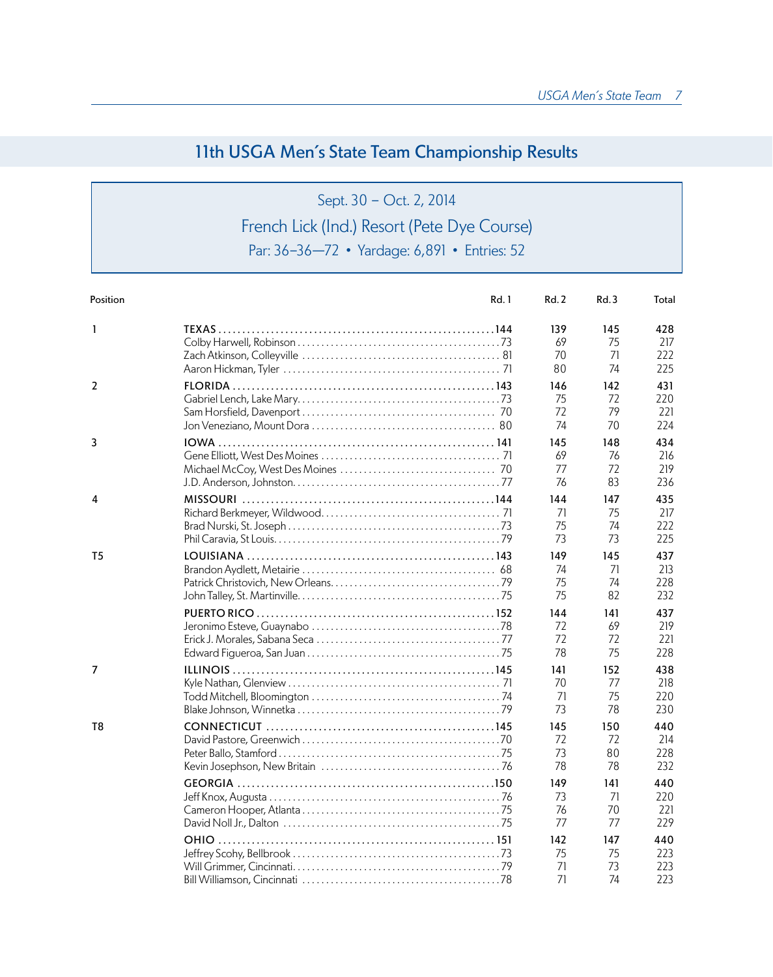## 11th USGA Men's State Team Championship Results

# Sept. 30 - Oct. 2, 2014 French Lick (Ind.) Resort (Pete Dye Course) Par: 36-36—72 • Yardage: 6,891 • Entries: 52

| Position     | Rd. 1       | Rd. 2                 | Rd.3                  | Total                    |
|--------------|-------------|-----------------------|-----------------------|--------------------------|
| $\mathbf{1}$ |             | 139                   | 145                   | 428                      |
|              |             | 69                    | 75                    | 217                      |
|              |             | 70                    | 71                    | 222                      |
|              |             | 80                    | 74                    | 225                      |
| 2            |             | 146                   | 142                   | 431                      |
|              |             | 75                    | 72                    | 220                      |
|              |             | 72                    | 79                    | 221                      |
|              |             | 74                    | 70                    | 224                      |
| 3            | <b>IOWA</b> | 145<br>69<br>77<br>76 | 148<br>76<br>72<br>83 | 434<br>216<br>219<br>236 |
| 4            |             | 144                   | 147                   | 435                      |
|              |             | 71                    | 75                    | 217                      |
|              |             | 75                    | 74                    | 222                      |
|              |             | 73                    | 73                    | 225                      |
| T5           |             | 149                   | 145                   | 437                      |
|              |             | 74                    | 71                    | 213                      |
|              |             | 75                    | 74                    | 228                      |
|              |             | 75                    | 82                    | 232                      |
|              |             | 144                   | 141                   | 437                      |
|              |             | 72                    | 69                    | 219                      |
|              |             | 72                    | 72                    | 221                      |
|              |             | 78                    | 75                    | 228                      |
| 7            |             | 141                   | 152                   | 438                      |
|              |             | 70                    | 77                    | 218                      |
|              |             | 71                    | 75                    | 220                      |
|              |             | 73                    | 78                    | 230                      |
| T8           |             | 145<br>72<br>73<br>78 | 150<br>72<br>80<br>78 | 440<br>214<br>228<br>232 |
|              |             | 149<br>73<br>76<br>77 | 141<br>71<br>70<br>77 | 440<br>220<br>221<br>229 |
|              |             | 142<br>75<br>71<br>71 | 147<br>75<br>73<br>74 | 440<br>223<br>223<br>223 |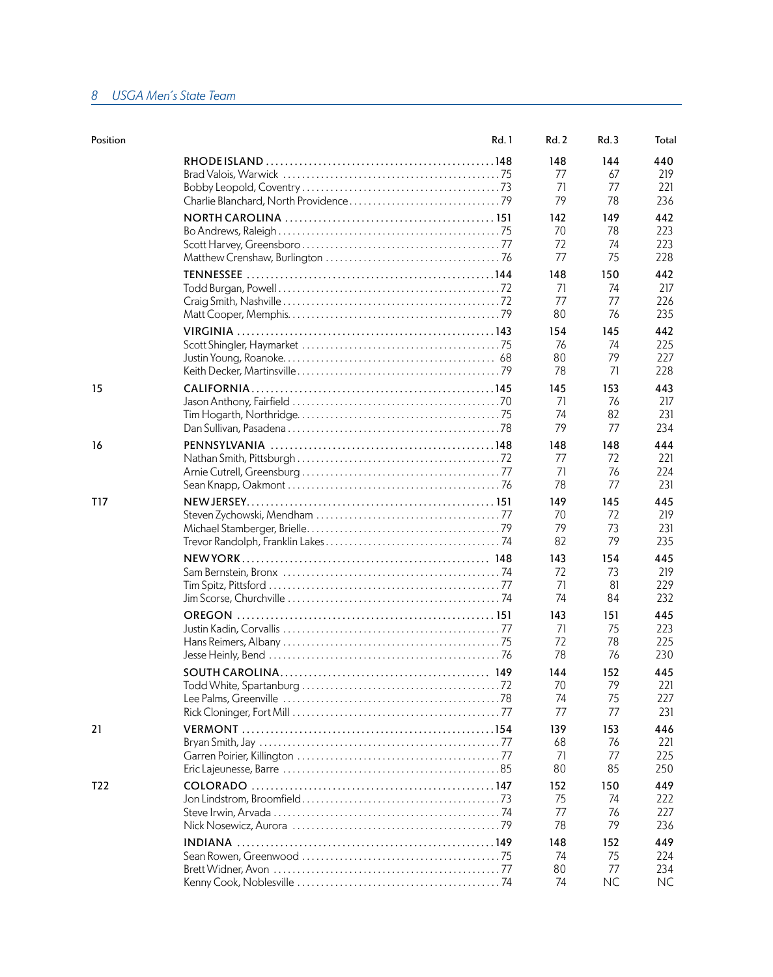#### *8 USGA Men's State Team*

| Position | Rd. 1 | Rd.2                  | Rd.3                         | Total                    |
|----------|-------|-----------------------|------------------------------|--------------------------|
|          |       | 148                   | 144                          | 440                      |
|          |       | 77                    | 67                           | 219                      |
|          |       | 71                    | 77                           | 221                      |
|          |       | 79                    | 78                           | 236                      |
|          |       | 142                   | 149                          | 442                      |
|          |       | 70                    | 78                           | 223                      |
|          |       | 72                    | 74                           | 223                      |
|          |       | 77                    | 75                           | 228                      |
|          |       | 148                   | 150                          | 442                      |
|          |       | 71                    | 74                           | 217                      |
|          |       | 77                    | 77                           | 226                      |
|          |       | 80                    | 76                           | 235                      |
|          |       | 154                   | 145                          | 442                      |
|          |       | 76                    | 74                           | 225                      |
|          |       | 80                    | 79                           | 227                      |
|          |       | 78                    | 71                           | 228                      |
| 15       |       | 145                   | 153                          | 443                      |
|          |       | 71                    | 76                           | 217                      |
|          |       | 74                    | 82                           | 231                      |
|          |       | 79                    | 77                           | 234                      |
| 16       |       | 148                   | 148                          | 444                      |
|          |       | 77                    | 72                           | 221                      |
|          |       | 71                    | 76                           | 224                      |
|          |       | 78                    | 77                           | 231                      |
| T17      |       | 149                   | 145                          | 445                      |
|          |       | 70                    | 72                           | 219                      |
|          |       | 79                    | 73                           | 231                      |
|          |       | 82                    | 79                           | 235                      |
|          |       | 143                   | 154                          | 445                      |
|          |       | 72                    | 73                           | 219                      |
|          |       | 71                    | 81                           | 229                      |
|          |       | 74                    | 84                           | 232                      |
|          |       | 143                   | 151                          | 445                      |
|          |       | 71                    | 75                           | 223                      |
|          |       | 72                    | 78                           | 225                      |
|          |       | 78                    | 76                           | 230                      |
|          |       | 144                   | 152                          | 445                      |
|          |       | 70                    | 79                           | 221                      |
|          |       | 74                    | 75                           | 227                      |
|          |       | 77                    | 77                           | 231                      |
| 21       |       | 139                   | 153                          | 446                      |
|          |       | 68                    | 76                           | 221                      |
|          |       | 71                    | 77                           | 225                      |
|          |       | 80                    | 85                           | 250                      |
| T22      |       | 152<br>75<br>77<br>78 | 150<br>74<br>76<br>79        | 449<br>222<br>227<br>236 |
|          |       | 148<br>74<br>80<br>74 | 152<br>75<br>77<br><b>NC</b> | 449<br>224<br>234<br>NC. |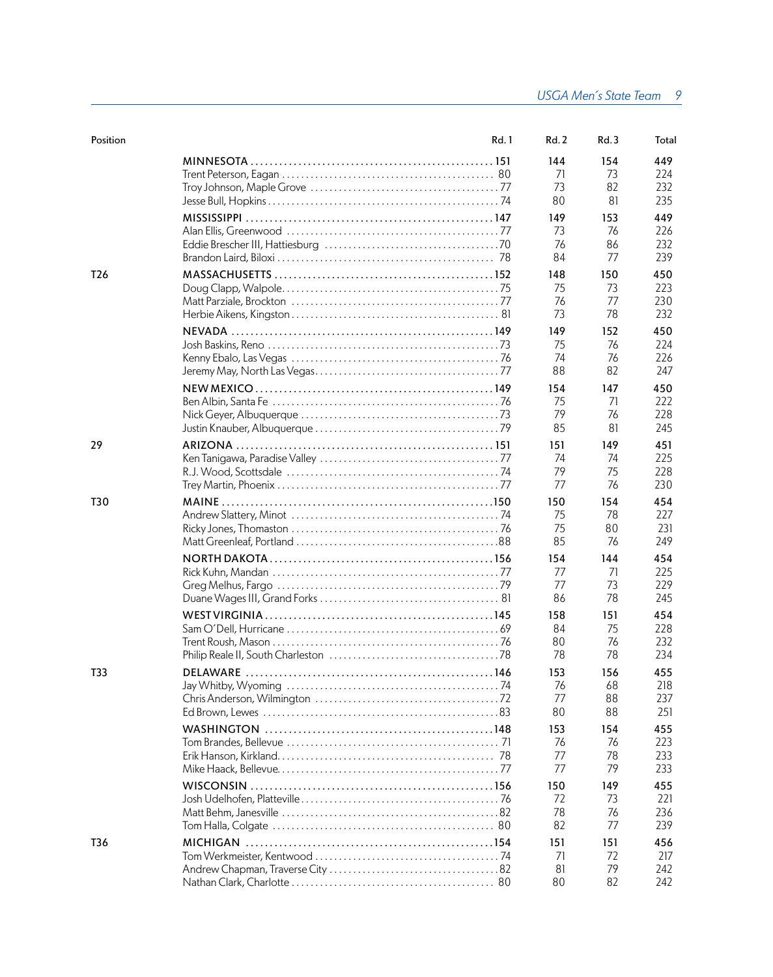| Position        | Rd. 1    | Rd. 2                 | Rd.3                  | Total                    |
|-----------------|----------|-----------------------|-----------------------|--------------------------|
|                 |          | 144                   | 154                   | 449                      |
|                 |          | 71                    | 73                    | 224                      |
|                 |          | 73                    | 82                    | 232                      |
|                 |          | 80                    | 81                    | 235                      |
|                 |          | 149                   | 153                   | 449                      |
|                 |          | 73                    | 76                    | 226                      |
|                 |          | 76                    | 86                    | 232                      |
|                 |          | 84                    | 77                    | 239                      |
| T <sub>26</sub> |          | 148                   | 150                   | 450                      |
|                 |          | 75                    | 73                    | 223                      |
|                 |          | 76                    | 77                    | 230                      |
|                 |          | 73                    | 78                    | 232                      |
|                 |          | 149                   | 152                   | 450                      |
|                 |          | 75                    | 76                    | 224                      |
|                 |          | 74                    | 76                    | 226                      |
|                 |          | 88                    | 82                    | 247                      |
|                 |          | 154                   | 147                   | 450                      |
|                 |          | 75                    | 71                    | 222                      |
|                 |          | 79                    | 76                    | 228                      |
|                 |          | 85                    | 81                    | 245                      |
| 29              |          | 151                   | 149                   | 451                      |
|                 |          | 74                    | 74                    | 225                      |
|                 |          | 79                    | 75                    | 228                      |
|                 |          | 77                    | 76                    | 230                      |
| T30             |          | 150                   | 154                   | 454                      |
|                 |          | 75                    | 78                    | 227                      |
|                 |          | 75                    | 80                    | 231                      |
|                 |          | 85                    | 76                    | 249                      |
|                 |          | 154<br>77<br>77<br>86 | 144<br>71<br>73<br>78 | 454<br>225<br>229<br>245 |
|                 |          | 158<br>84<br>80<br>78 | 151<br>75<br>76<br>78 | 454<br>228<br>232<br>234 |
| T33             | DELAWARE | 153<br>76<br>77<br>80 | 156<br>68<br>88<br>88 | 455<br>218<br>237<br>251 |
|                 |          | 153<br>76<br>77<br>77 | 154<br>76<br>78<br>79 | 455<br>223<br>233<br>233 |
|                 |          | 150<br>72<br>78<br>82 | 149<br>73<br>76<br>77 | 455<br>221<br>236<br>239 |
| T36             |          | 151                   | 151                   | 456                      |
|                 |          | 71                    | 72                    | 217                      |
|                 |          | 81                    | 79                    | 242                      |
|                 |          | 80                    | 82                    | 242                      |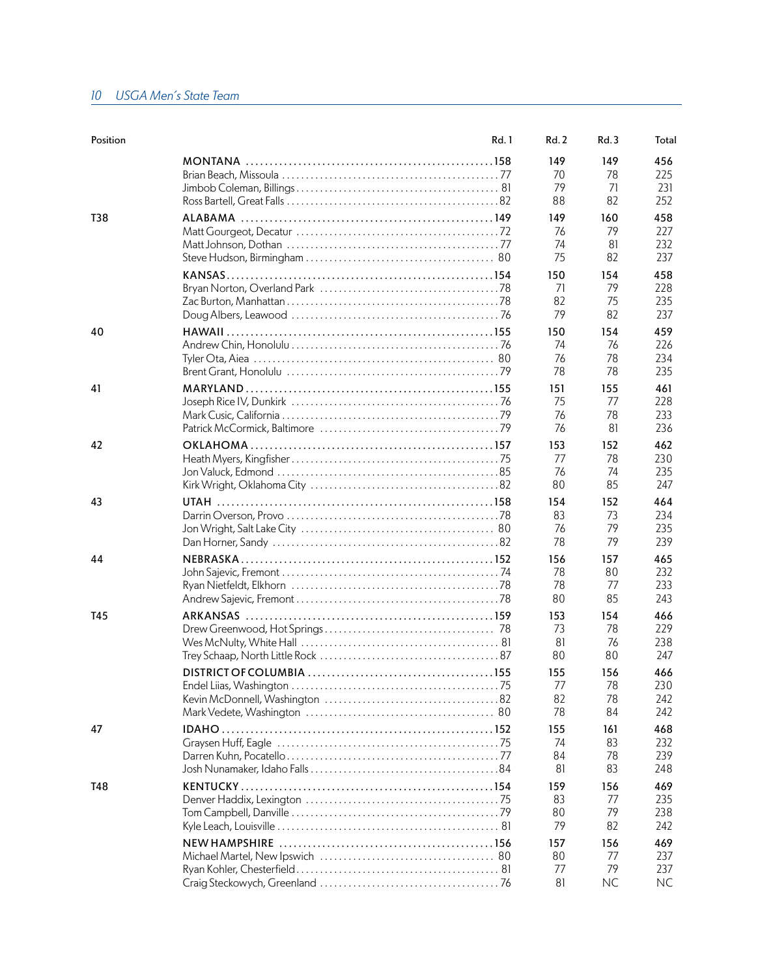#### *10 USGA Men's State Team*

| Position | Rd. 1 | Rd.2 | Rd.3      | Total |
|----------|-------|------|-----------|-------|
|          |       | 149  | 149       | 456   |
|          |       | 70   | 78        | 225   |
|          |       | 79   | 71        | 231   |
|          |       | 88   | 82        | 252   |
| T38      |       | 149  | 160       | 458   |
|          |       | 76   | 79        | 227   |
|          |       | 74   | 81        | 232   |
|          |       | 75   | 82        | 237   |
|          |       | 150  | 154       | 458   |
|          |       | 71   | 79        | 228   |
|          |       | 82   | 75        | 235   |
|          |       | 79   | 82        | 237   |
| 40       |       | 150  | 154       | 459   |
|          |       | 74   | 76        | 226   |
|          |       | 76   | 78        | 234   |
|          |       | 78   | 78        | 235   |
| 41       |       | 151  | 155       | 461   |
|          |       | 75   | 77        | 228   |
|          |       | 76   | 78        | 233   |
|          |       | 76   | 81        | 236   |
| 42       |       | 153  | 152       | 462   |
|          |       | 77   | 78        | 230   |
|          |       | 76   | 74        | 235   |
|          |       | 80   | 85        | 247   |
| 43       |       | 154  | 152       | 464   |
|          |       | 83   | 73        | 234   |
|          |       | 76   | 79        | 235   |
|          |       | 78   | 79        | 239   |
| 44       |       | 156  | 157       | 465   |
|          |       | 78   | 80        | 232   |
|          |       | 78   | 77        | 233   |
|          |       | 80   | 85        | 243   |
| T45      |       | 153  | 154       | 466   |
|          |       | 73   | 78        | 229   |
|          |       | 81   | 76        | 238   |
|          |       | 80   | 80        | 247   |
|          |       | 155  | 156       | 466   |
|          |       | 77   | 78        | 230   |
|          |       | 82   | 78        | 242   |
|          |       | 78   | 84        | 242   |
| 47       |       | 155  | 161       | 468   |
|          |       | 74   | 83        | 232   |
|          |       | 84   | 78        | 239   |
|          |       | 81   | 83        | 248   |
| T48      |       | 159  | 156       | 469   |
|          |       | 83   | 77        | 235   |
|          |       | 80   | 79        | 238   |
|          |       | 79   | 82        | 242   |
|          |       | 157  | 156       | 469   |
|          |       | 80   | 77        | 237   |
|          |       | 77   | 79        | 237   |
|          |       | 81   | <b>NC</b> | NC.   |